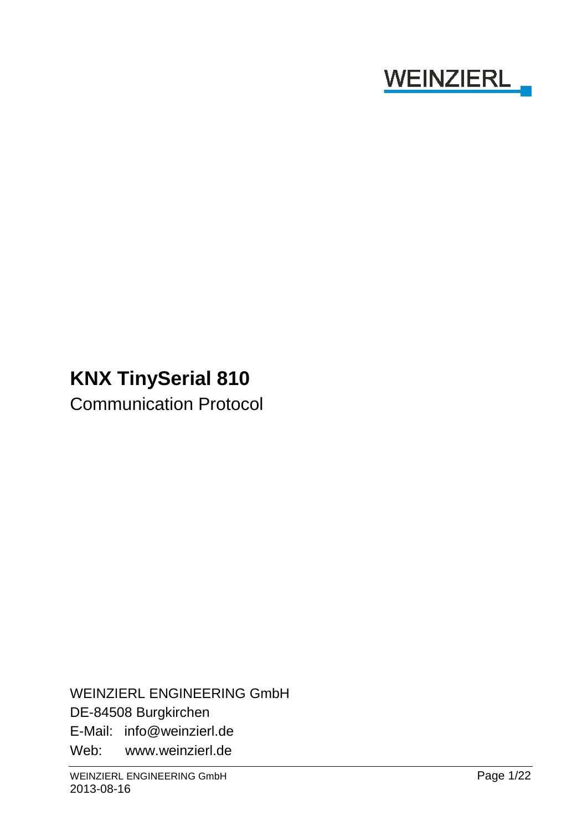

# **KNX TinySerial 810**

Communication Protocol

WEINZIERL ENGINEERING GmbH DE-84508 Burgkirchen E-Mail: info@weinzierl.de Web: www.weinzierl.de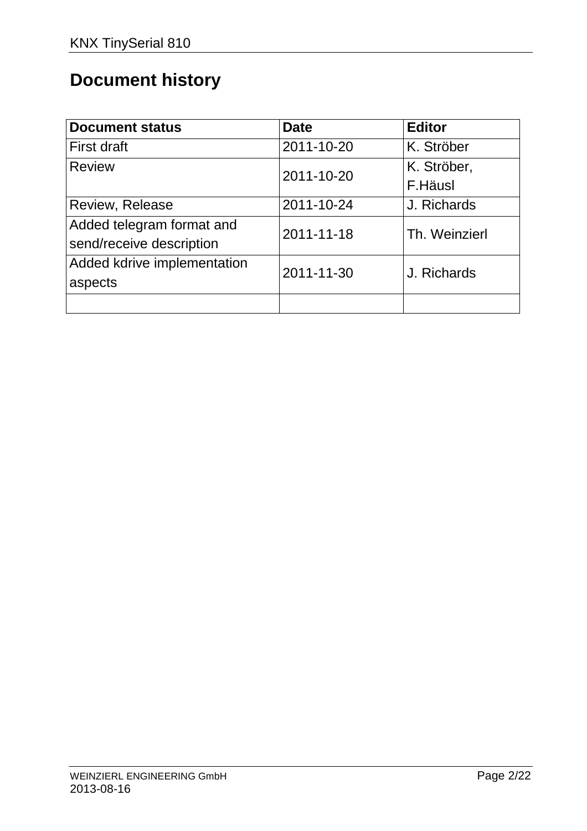# **Document history**

| <b>Document status</b>      | <b>Date</b> | <b>Editor</b> |
|-----------------------------|-------------|---------------|
| First draft                 | 2011-10-20  | K. Ströber    |
| <b>Review</b>               | 2011-10-20  | K. Ströber,   |
|                             |             | F.Häusl       |
| Review, Release             | 2011-10-24  | J. Richards   |
| Added telegram format and   | 2011-11-18  | Th. Weinzierl |
| send/receive description    |             |               |
| Added kdrive implementation | 2011-11-30  | J. Richards   |
| aspects                     |             |               |
|                             |             |               |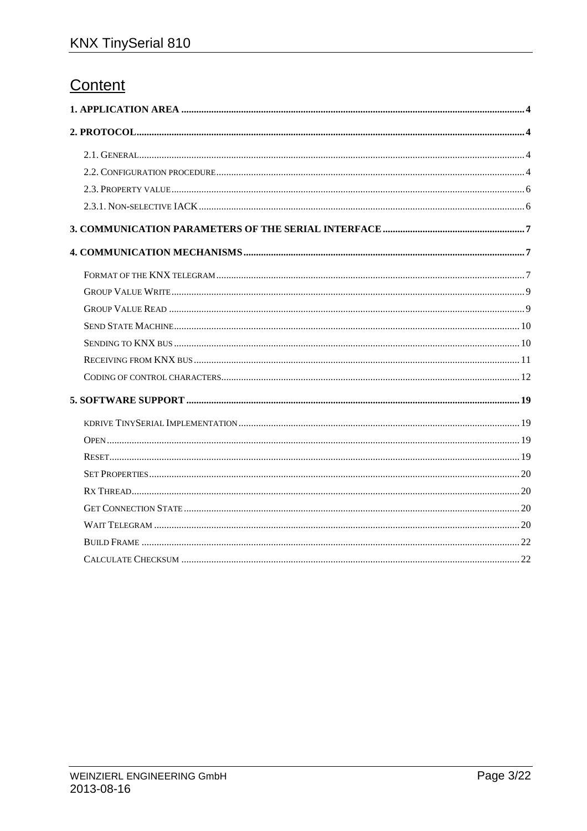# Content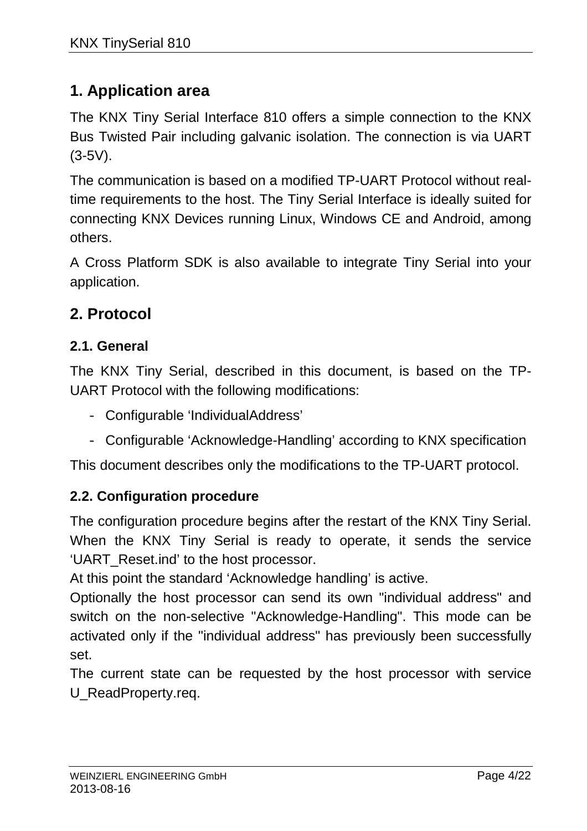## **1. Application area**

The KNX Tiny Serial Interface 810 offers a simple connection to the KNX Bus Twisted Pair including galvanic isolation. The connection is via UART  $(3-5V)$ .

The communication is based on a modified TP-UART Protocol without realtime requirements to the host. The Tiny Serial Interface is ideally suited for connecting KNX Devices running Linux, Windows CE and Android, among others.

A Cross Platform SDK is also available to integrate Tiny Serial into your application.

## **2. Protocol**

### **2.1. General**

The KNX Tiny Serial, described in this document, is based on the TP-UART Protocol with the following modifications:

- Configurable 'IndividualAddress'
- Configurable 'Acknowledge-Handling' according to KNX specification

This document describes only the modifications to the TP-UART protocol.

#### **2.2. Configuration procedure**

The configuration procedure begins after the restart of the KNX Tiny Serial. When the KNX Tiny Serial is ready to operate, it sends the service 'UART\_Reset.ind' to the host processor.

At this point the standard 'Acknowledge handling' is active.

Optionally the host processor can send its own "individual address" and switch on the non-selective "Acknowledge-Handling". This mode can be activated only if the "individual address" has previously been successfully set.

The current state can be requested by the host processor with service U\_ReadProperty.req.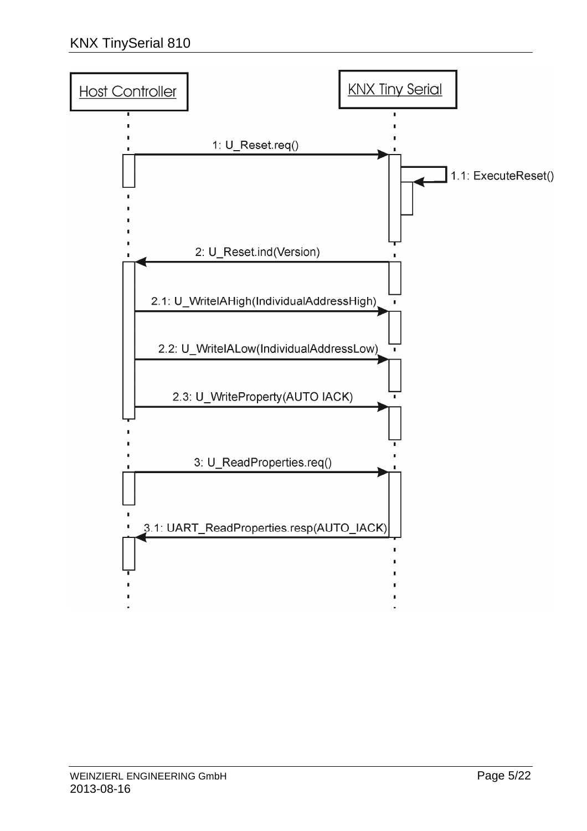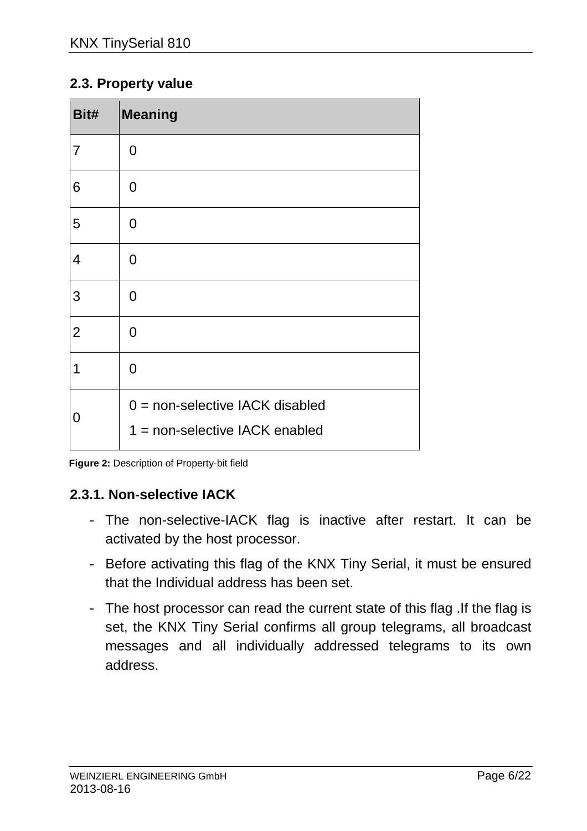#### **2.3. Property value**

| Bit#           | <b>Meaning</b>                                                        |
|----------------|-----------------------------------------------------------------------|
| $\overline{7}$ | $\overline{0}$                                                        |
| 6              | 0                                                                     |
| 5              | $\overline{0}$                                                        |
| $\overline{4}$ | $\overline{0}$                                                        |
| 3              | $\overline{0}$                                                        |
| $\overline{2}$ | $\overline{0}$                                                        |
| 1              | $\Omega$                                                              |
| 0              | $0 =$ non-selective IACK disabled<br>$1 =$ non-selective IACK enabled |

**Figure 2:** Description of Property-bit field

#### **2.3.1. Non-selective IACK**

- The non-selective-IACK flag is inactive after restart. It can be activated by the host processor.
- Before activating this flag of the KNX Tiny Serial, it must be ensured that the Individual address has been set.
- The host processor can read the current state of this flag .If the flag is set, the KNX Tiny Serial confirms all group telegrams, all broadcast messages and all individually addressed telegrams to its own address.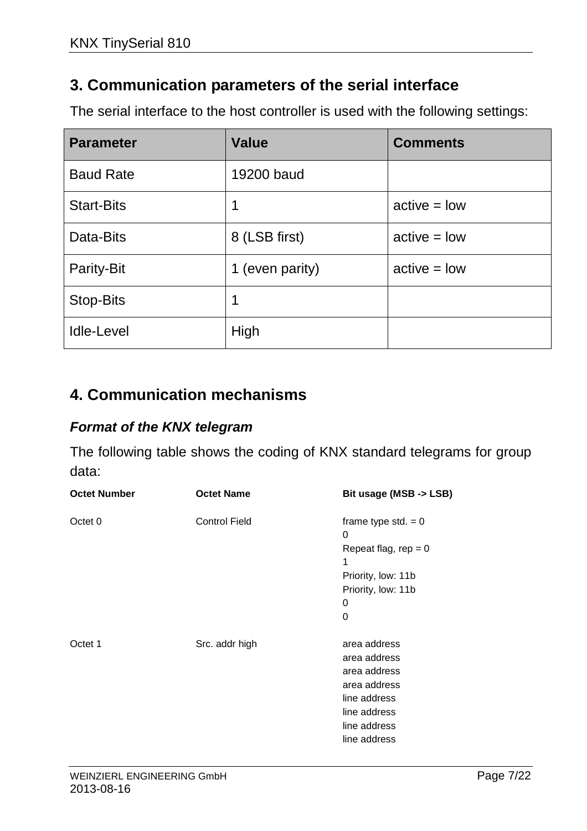## **3. Communication parameters of the serial interface**

The serial interface to the host controller is used with the following settings:

| <b>Parameter</b>  | <b>Value</b>    | <b>Comments</b> |
|-------------------|-----------------|-----------------|
| <b>Baud Rate</b>  | 19200 baud      |                 |
| <b>Start-Bits</b> | 1               | $active = low$  |
| Data-Bits         | 8 (LSB first)   | $active = low$  |
| Parity-Bit        | 1 (even parity) | $active = low$  |
| Stop-Bits         | 1               |                 |
| <b>Idle-Level</b> | High            |                 |

## **4. Communication mechanisms**

#### **Format of the KNX telegram**

The following table shows the coding of KNX standard telegrams for group data:

| <b>Octet Number</b> | <b>Octet Name</b>    | Bit usage (MSB -> LSB)                                                                                                       |
|---------------------|----------------------|------------------------------------------------------------------------------------------------------------------------------|
| Octet 0             | <b>Control Field</b> | frame type std. $= 0$<br>0<br>Repeat flag, rep = $0$<br>1<br>Priority, low: 11b<br>Priority, low: 11b<br>0<br>0              |
| Octet 1             | Src. addr high       | area address<br>area address<br>area address<br>area address<br>line address<br>line address<br>line address<br>line address |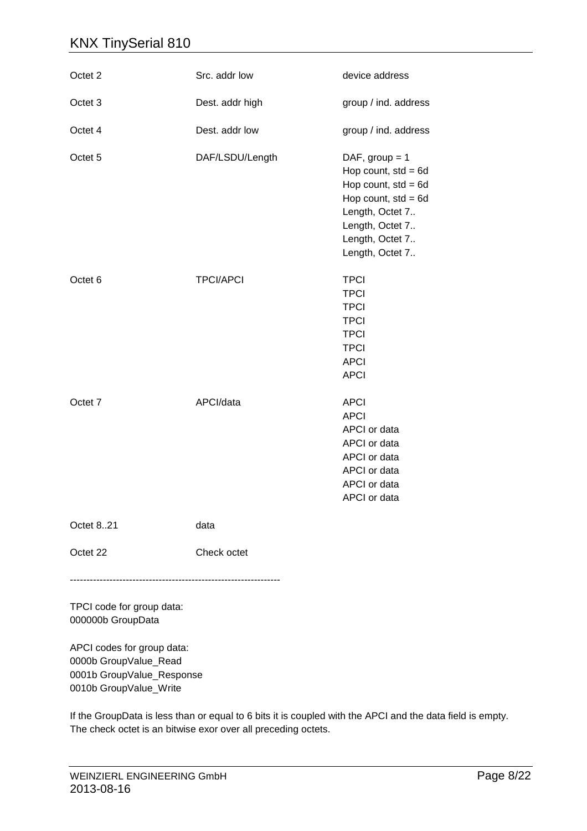| Octet 2            | Src. addr low    | device address                                                                                                                                                          |
|--------------------|------------------|-------------------------------------------------------------------------------------------------------------------------------------------------------------------------|
| Octet 3            | Dest. addr high  | group / ind. address                                                                                                                                                    |
| Octet 4            | Dest. addr low   | group / ind. address                                                                                                                                                    |
| Octet 5            | DAF/LSDU/Length  | DAF, group $= 1$<br>Hop count, $std = 6d$<br>Hop count, $std = 6d$<br>Hop count, $std = 6d$<br>Length, Octet 7<br>Length, Octet 7<br>Length, Octet 7<br>Length, Octet 7 |
| Octet <sub>6</sub> | <b>TPCI/APCI</b> | <b>TPCI</b><br><b>TPCI</b><br><b>TPCI</b><br><b>TPCI</b><br><b>TPCI</b><br><b>TPCI</b><br><b>APCI</b><br><b>APCI</b>                                                    |
| Octet <sub>7</sub> | APCI/data        | <b>APCI</b><br><b>APCI</b><br>APCI or data<br>APCI or data<br>APCI or data<br>APCI or data<br>APCI or data<br>APCI or data                                              |
| Octet 821          | data             |                                                                                                                                                                         |
| Octet 22           | Check octet      |                                                                                                                                                                         |

TPCI code for group data: 000000b GroupData

----------------------------------------------------------------

APCI codes for group data: 0000b GroupValue\_Read 0001b GroupValue\_Response 0010b GroupValue\_Write

If the GroupData is less than or equal to 6 bits it is coupled with the APCI and the data field is empty. The check octet is an bitwise exor over all preceding octets.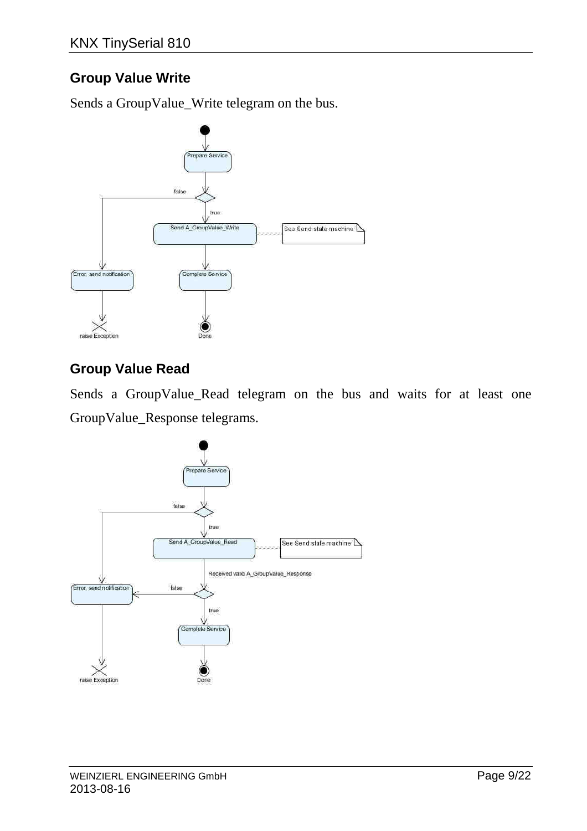## **Group Value Write**

Sends a GroupValue\_Write telegram on the bus.



### **Group Value Read**

Sends a GroupValue\_Read telegram on the bus and waits for at least one GroupValue\_Response telegrams.

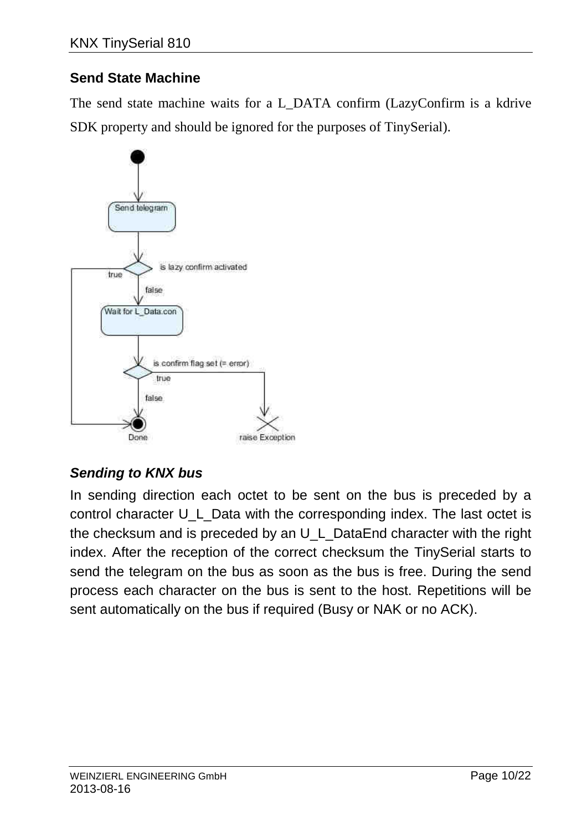## **Send State Machine**

The send state machine waits for a L\_DATA confirm (LazyConfirm is a kdrive SDK property and should be ignored for the purposes of TinySerial).



## **Sending to KNX bus**

In sending direction each octet to be sent on the bus is preceded by a control character U\_L\_Data with the corresponding index. The last octet is the checksum and is preceded by an U\_L\_DataEnd character with the right index. After the reception of the correct checksum the TinySerial starts to send the telegram on the bus as soon as the bus is free. During the send process each character on the bus is sent to the host. Repetitions will be sent automatically on the bus if required (Busy or NAK or no ACK).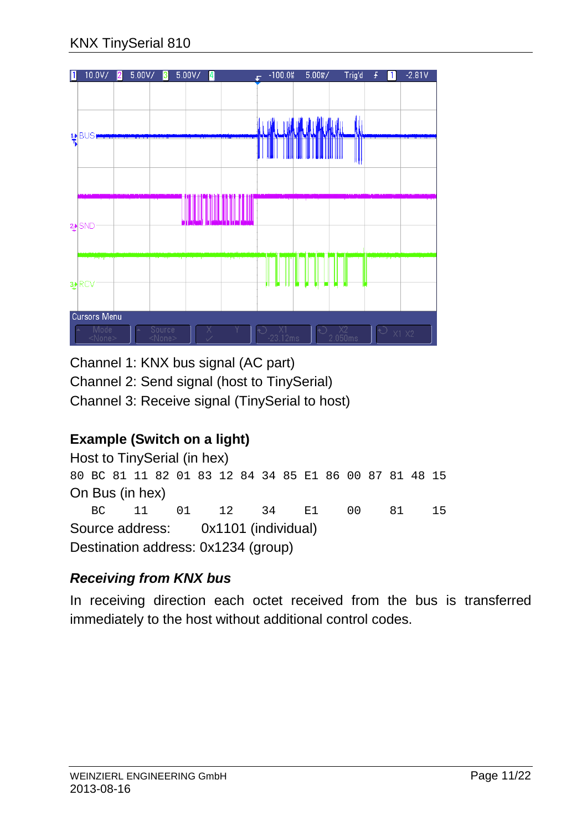

Channel 1: KNX bus signal (AC part)

Channel 2: Send signal (host to TinySerial)

Channel 3: Receive signal (TinySerial to host)

# **Example (Switch on a light)**

Host to TinySerial (in hex) 80 BC 81 11 82 01 83 12 84 34 85 E1 86 00 87 81 48 15 On Bus (in hex) BC 11 01 12 34 E1 00 81 15 Source address: 0x1101 (individual) Destination address: 0x1234 (group)

## **Receiving from KNX bus**

In receiving direction each octet received from the bus is transferred immediately to the host without additional control codes.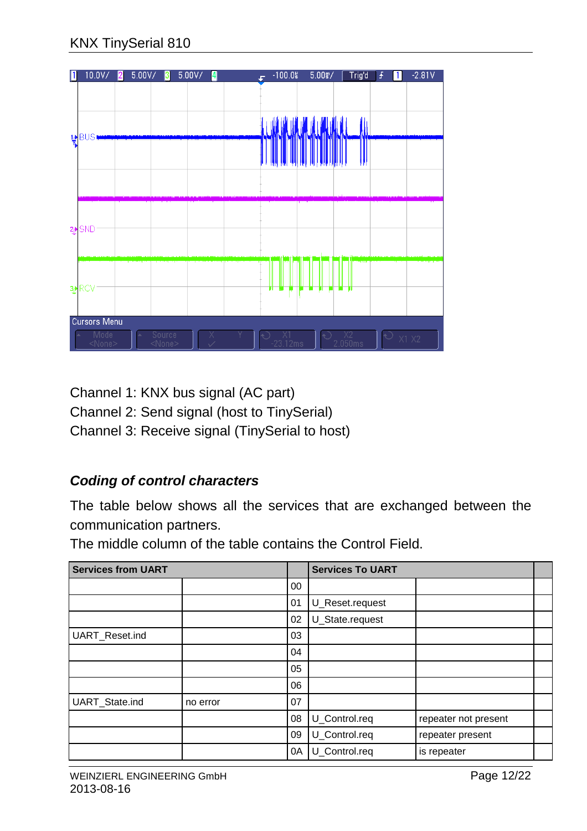

Channel 1: KNX bus signal (AC part)

Channel 2: Send signal (host to TinySerial)

Channel 3: Receive signal (TinySerial to host)

## **Coding of control characters**

The table below shows all the services that are exchanged between the communication partners.

The middle column of the table contains the Control Field.

| <b>Services from UART</b> |          |    | <b>Services To UART</b> |                      |  |
|---------------------------|----------|----|-------------------------|----------------------|--|
|                           |          | 00 |                         |                      |  |
|                           |          | 01 | U_Reset.request         |                      |  |
|                           |          | 02 | U_State.request         |                      |  |
| UART_Reset.ind            |          | 03 |                         |                      |  |
|                           |          | 04 |                         |                      |  |
|                           |          | 05 |                         |                      |  |
|                           |          | 06 |                         |                      |  |
| UART_State.ind            | no error | 07 |                         |                      |  |
|                           |          | 08 | U_Control.req           | repeater not present |  |
|                           |          | 09 | U_Control.req           | repeater present     |  |
|                           |          | 0A | U_Control.req           | is repeater          |  |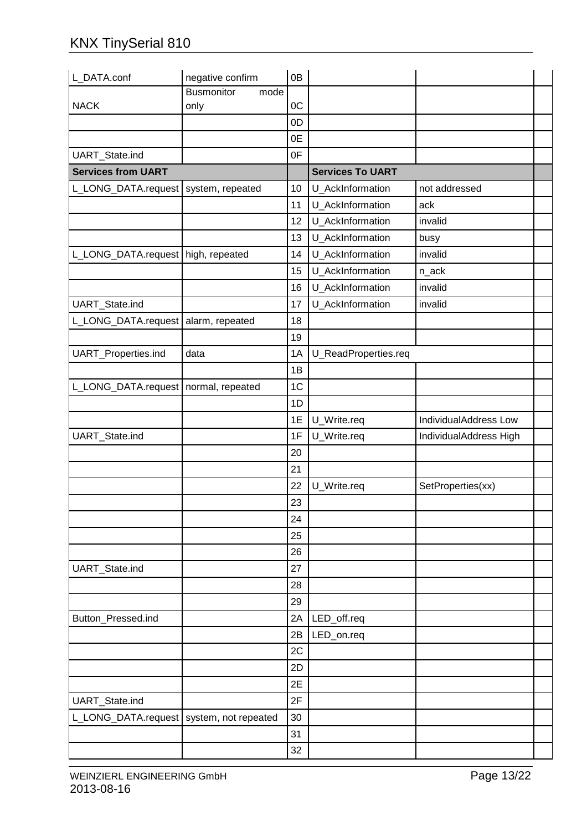| L_DATA.conf                                | negative confirm          | 0B             |                         |                        |  |
|--------------------------------------------|---------------------------|----------------|-------------------------|------------------------|--|
|                                            | <b>Busmonitor</b><br>mode |                |                         |                        |  |
| <b>NACK</b>                                | only                      | 0C             |                         |                        |  |
|                                            |                           | 0D             |                         |                        |  |
|                                            |                           | 0E             |                         |                        |  |
| UART_State.ind                             |                           | 0F             |                         |                        |  |
| <b>Services from UART</b>                  |                           |                | <b>Services To UART</b> |                        |  |
| L_LONG_DATA.request                        | system, repeated          | 10             | U_AckInformation        | not addressed          |  |
|                                            |                           | 11             | U AckInformation        | ack                    |  |
|                                            |                           | 12             | U_AckInformation        | invalid                |  |
|                                            |                           | 13             | U_AckInformation        | busy                   |  |
| L_LONG_DATA.request   high, repeated       |                           | 14             | U_AckInformation        | invalid                |  |
|                                            |                           | 15             | U_AckInformation        | n_ack                  |  |
|                                            |                           | 16             | U_AckInformation        | invalid                |  |
| UART_State.ind                             |                           | 17             | U_AckInformation        | invalid                |  |
| L_LONG_DATA.request alarm, repeated        |                           | 18             |                         |                        |  |
|                                            |                           | 19             |                         |                        |  |
| UART_Properties.ind                        | data                      | 1A             | U_ReadProperties.req    |                        |  |
|                                            |                           | 1B             |                         |                        |  |
| L_LONG_DATA.request   normal, repeated     |                           | 1 <sub>C</sub> |                         |                        |  |
|                                            |                           | 1D             |                         |                        |  |
|                                            |                           | 1E             | U_Write.req             | IndividualAddress Low  |  |
| UART_State.ind                             |                           | 1F             | U_Write.req             | IndividualAddress High |  |
|                                            |                           | 20             |                         |                        |  |
|                                            |                           | 21             |                         |                        |  |
|                                            |                           | 22             | U_Write.req             | SetProperties(xx)      |  |
|                                            |                           | 23             |                         |                        |  |
|                                            |                           | 24             |                         |                        |  |
|                                            |                           | 25             |                         |                        |  |
|                                            |                           | 26             |                         |                        |  |
| UART_State.ind                             |                           | 27             |                         |                        |  |
|                                            |                           | 28             |                         |                        |  |
|                                            |                           | 29             |                         |                        |  |
| Button Pressed.ind                         |                           | 2A             | LED_off.req             |                        |  |
|                                            |                           | 2B             | LED_on.req              |                        |  |
|                                            |                           | 2C             |                         |                        |  |
|                                            |                           | 2D             |                         |                        |  |
|                                            |                           | 2E             |                         |                        |  |
| UART_State.ind                             |                           | 2F             |                         |                        |  |
| L_LONG_DATA.request   system, not repeated |                           | 30             |                         |                        |  |
|                                            |                           | 31             |                         |                        |  |
|                                            |                           | 32             |                         |                        |  |
|                                            |                           |                |                         |                        |  |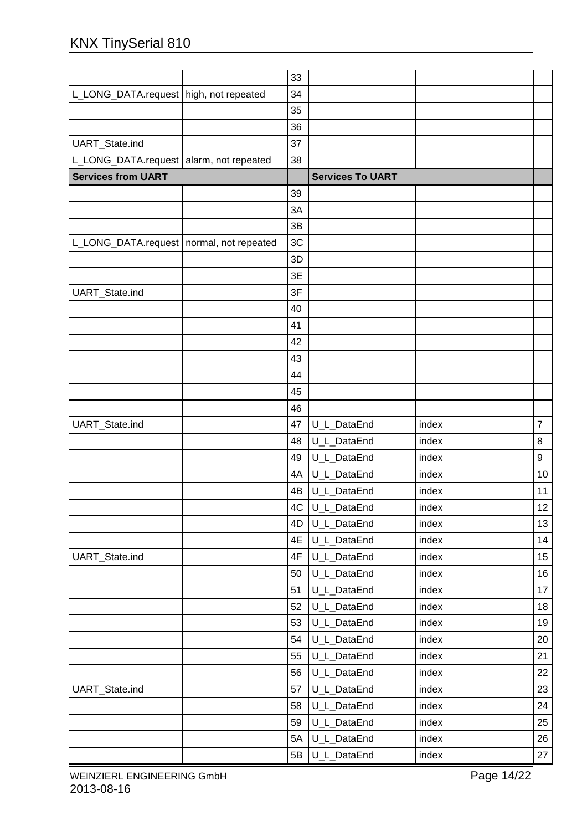|                                            | 33 |                         |       |                |
|--------------------------------------------|----|-------------------------|-------|----------------|
| L_LONG_DATA.request   high, not repeated   | 34 |                         |       |                |
|                                            | 35 |                         |       |                |
|                                            | 36 |                         |       |                |
| UART_State.ind                             | 37 |                         |       |                |
| L_LONG_DATA.request alarm, not repeated    | 38 |                         |       |                |
| <b>Services from UART</b>                  |    | <b>Services To UART</b> |       |                |
|                                            | 39 |                         |       |                |
|                                            | 3A |                         |       |                |
|                                            | 3B |                         |       |                |
| L_LONG_DATA.request   normal, not repeated | 3C |                         |       |                |
|                                            | 3D |                         |       |                |
|                                            | 3E |                         |       |                |
| UART_State.ind                             | 3F |                         |       |                |
|                                            | 40 |                         |       |                |
|                                            | 41 |                         |       |                |
|                                            | 42 |                         |       |                |
|                                            | 43 |                         |       |                |
|                                            | 44 |                         |       |                |
|                                            | 45 |                         |       |                |
|                                            | 46 |                         |       |                |
| UART_State.ind                             | 47 | U_L_DataEnd             | index | $\overline{7}$ |
|                                            | 48 | U_L_DataEnd             | index | 8              |
|                                            | 49 | U_L_DataEnd             | index | 9              |
|                                            | 4A | U_L_DataEnd             | index | 10             |
|                                            | 4B | U_L_DataEnd             | index | 11             |
|                                            | 4C | U_L_DataEnd             | index | 12             |
|                                            | 4D | U_L_DataEnd             | index | 13             |
|                                            | 4E | U_L_DataEnd             | index | 14             |
| UART_State.ind                             | 4F | U_L_DataEnd             | index | 15             |
|                                            | 50 | U L DataEnd             | index | 16             |
|                                            | 51 | U_L_DataEnd             | index | 17             |
|                                            | 52 | U_L_DataEnd             | index | 18             |
|                                            | 53 | U_L_DataEnd             | index | 19             |
|                                            | 54 | U_L_DataEnd             | index | 20             |
|                                            | 55 | U_L_DataEnd             | index | 21             |
|                                            | 56 | U_L_DataEnd             | index | 22             |
| UART_State.ind                             | 57 | U_L_DataEnd             | index | 23             |
|                                            | 58 | U_L_DataEnd             | index | 24             |
|                                            | 59 | U_L_DataEnd             | index | 25             |
|                                            | 5A | U_L_DataEnd             | index | 26             |
|                                            | 5B | U_L_DataEnd             | index | 27             |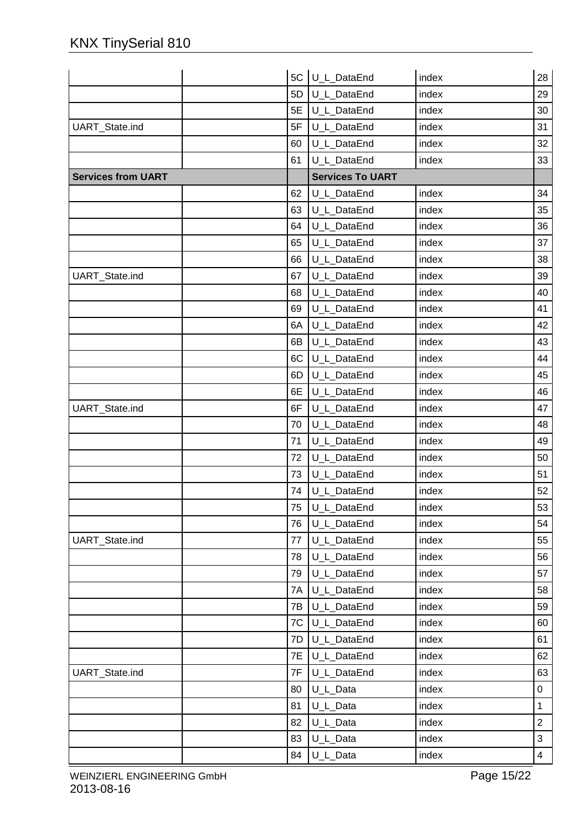|                           |    | 5C U_L_DataEnd          | index | 28             |
|---------------------------|----|-------------------------|-------|----------------|
|                           | 5D | U_L_DataEnd             | index | 29             |
|                           | 5E | U_L_DataEnd             | index | 30             |
| UART_State.ind            | 5F | U_L_DataEnd             | index | 31             |
|                           | 60 | U_L_DataEnd             | index | 32             |
|                           | 61 | U_L_DataEnd             | index | 33             |
| <b>Services from UART</b> |    | <b>Services To UART</b> |       |                |
|                           | 62 | U_L_DataEnd             | index | 34             |
|                           | 63 | U L DataEnd             | index | 35             |
|                           | 64 | U_L_DataEnd             | index | 36             |
|                           | 65 | U_L_DataEnd             | index | 37             |
|                           | 66 | U_L_DataEnd             | index | 38             |
| UART_State.ind            | 67 | U L DataEnd             | index | 39             |
|                           | 68 | U_L_DataEnd             | index | 40             |
|                           | 69 | U_L_DataEnd             | index | 41             |
|                           | 6A | U_L_DataEnd             | index | 42             |
|                           | 6B | U_L_DataEnd             | index | 43             |
|                           | 6C | U_L_DataEnd             | index | 44             |
|                           | 6D | U_L_DataEnd             | index | 45             |
|                           | 6E | U_L_DataEnd             | index | 46             |
| UART_State.ind            | 6F | U_L_DataEnd             | index | 47             |
|                           | 70 | U_L_DataEnd             | index | 48             |
|                           | 71 | U_L_DataEnd             | index | 49             |
|                           | 72 | U_L_DataEnd             | index | 50             |
|                           | 73 | U_L_DataEnd             | index | 51             |
|                           | 74 | U_L_DataEnd             | index | 52             |
|                           | 75 | U_L_DataEnd             | index | 53             |
|                           | 76 | U_L_DataEnd             | index | 54             |
| UART_State.ind            | 77 | U L DataEnd             | index | 55             |
|                           | 78 | U_L_DataEnd             | index | 56             |
|                           | 79 | U L_DataEnd             | index | 57             |
|                           | 7A | U L DataEnd             | index | 58             |
|                           | 7B | U_L_DataEnd             | index | 59             |
|                           | 7C | U_L_DataEnd             | index | 60             |
|                           | 7D | U_L_DataEnd             | index | 61             |
|                           | 7E | U_L_DataEnd             | index | 62             |
| UART_State.ind            | 7F | U_L_DataEnd             | index | 63             |
|                           | 80 | U_L_Data                | index | 0              |
|                           | 81 | U_L_Data                | index | $\mathbf{1}$   |
|                           | 82 | U_L_Data                | index | $\overline{2}$ |
|                           | 83 | U_L_Data                | index | 3              |
|                           | 84 | U_L_Data                | index | $\overline{4}$ |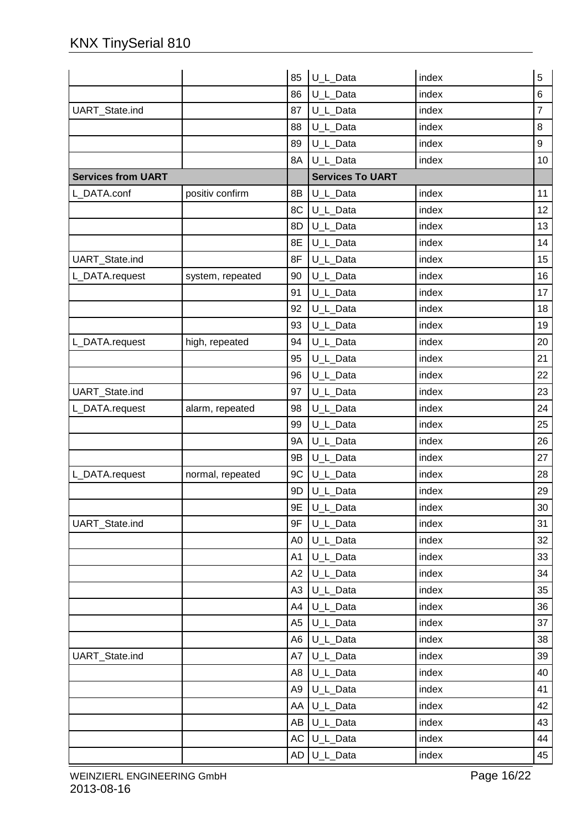|                           |                  | 85             | U_L_Data                | index | 5              |
|---------------------------|------------------|----------------|-------------------------|-------|----------------|
|                           |                  | 86             | U_L_Data                | index | 6              |
| UART_State.ind            |                  | 87             | U_L_Data                | index | $\overline{7}$ |
|                           |                  | 88             | U_L_Data                | index | 8              |
|                           |                  | 89             | U_L_Data                | index | 9              |
|                           |                  | 8A             | U_L_Data                | index | 10             |
| <b>Services from UART</b> |                  |                | <b>Services To UART</b> |       |                |
| L_DATA.conf               | positiv confirm  | 8B             | U_L_Data                | index | 11             |
|                           |                  | 8C             | U_L_Data                | index | 12             |
|                           |                  | 8D             | U_L_Data                | index | 13             |
|                           |                  | 8E             | U_L_Data                | index | 14             |
| UART_State.ind            |                  | 8F             | U_L_Data                | index | 15             |
| L_DATA.request            | system, repeated | 90             | U L Data                | index | 16             |
|                           |                  | 91             | U_L_Data                | index | 17             |
|                           |                  | 92             | U_L_Data                | index | 18             |
|                           |                  | 93             | U_L_Data                | index | 19             |
| L_DATA.request            | high, repeated   | 94             | U_L_Data                | index | 20             |
|                           |                  | 95             | U_L_Data                | index | 21             |
|                           |                  | 96             | U_L_Data                | index | 22             |
| UART_State.ind            |                  | 97             | U_L_Data                | index | 23             |
| L_DATA.request            | alarm, repeated  | 98             | U_L_Data                | index | 24             |
|                           |                  | 99             | U_L_Data                | index | 25             |
|                           |                  | <b>9A</b>      | U_L_Data                | index | 26             |
|                           |                  | 9B             | U_L_Data                | index | 27             |
| L_DATA.request            | normal, repeated | 9C             | U_L_Data                | index | 28             |
|                           |                  | 9D             | U_L_Data                | index | 29             |
|                           |                  | 9E             | U_L_Data                | index | 30             |
| <b>UART</b> State.ind     |                  | 9F             | U_L_Data                | index | 31             |
|                           |                  | A <sub>0</sub> | U_L_Data                | index | 32             |
|                           |                  | A1             | U_L_Data                | index | 33             |
|                           |                  | A2             | U_L_Data                | index | 34             |
|                           |                  | A3             | U_L_Data                | index | 35             |
|                           |                  | A4             | U_L_Data                | index | 36             |
|                           |                  | A <sub>5</sub> | U_L_Data                | index | 37             |
|                           |                  | A6             | U_L_Data                | index | 38             |
| UART_State.ind            |                  | A7             | U_L_Data                | index | 39             |
|                           |                  | A8             | U_L_Data                | index | 40             |
|                           |                  | A9             | U_L_Data                | index | 41             |
|                           |                  | AA             | U_L_Data                | index | 42             |
|                           |                  | AB             | U_L_Data                | index | 43             |
|                           |                  |                | AC U_L_Data             | index | 44             |
|                           |                  |                | AD U_L_Data             | index | 45             |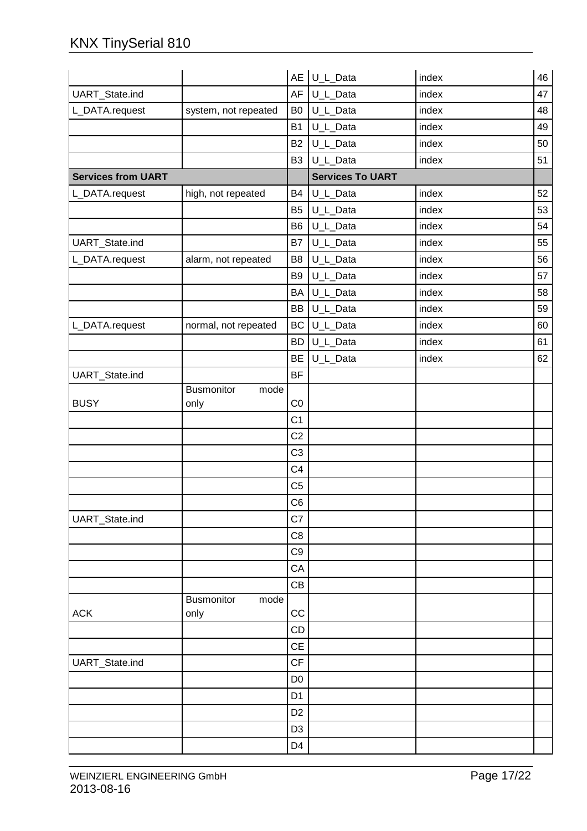|                           |                           |                | AE U_L_Data             | index | 46 |
|---------------------------|---------------------------|----------------|-------------------------|-------|----|
| UART_State.ind            |                           | AF             | U_L_Data                | index | 47 |
| L_DATA.request            | system, not repeated      | B <sub>0</sub> | U_L_Data                | index | 48 |
|                           |                           | <b>B1</b>      | U_L_Data                | index | 49 |
|                           |                           | <b>B2</b>      | U_L_Data                | index | 50 |
|                           |                           | B <sub>3</sub> | U_L_Data                | index | 51 |
| <b>Services from UART</b> |                           |                | <b>Services To UART</b> |       |    |
| L_DATA.request            | high, not repeated        | <b>B4</b>      | U_L_Data                | index | 52 |
|                           |                           | B <sub>5</sub> | U_L_Data                | index | 53 |
|                           |                           | B <sub>6</sub> | U_L_Data                | index | 54 |
| UART_State.ind            |                           | <b>B7</b>      | U_L_Data                | index | 55 |
| L_DATA.request            | alarm, not repeated       | B <sub>8</sub> | U_L_Data                | index | 56 |
|                           |                           | B <sub>9</sub> | U_L_Data                | index | 57 |
|                           |                           | BA             | U_L_Data                | index | 58 |
|                           |                           | BB             | U_L_Data                | index | 59 |
| L_DATA.request            | normal, not repeated      | BC             | U_L_Data                | index | 60 |
|                           |                           | <b>BD</b>      | U_L_Data                | index | 61 |
|                           |                           | <b>BE</b>      | U_L_Data                | index | 62 |
| UART_State.ind            |                           | <b>BF</b>      |                         |       |    |
|                           | <b>Busmonitor</b><br>mode |                |                         |       |    |
| <b>BUSY</b>               | only                      | CO             |                         |       |    |
|                           |                           | C <sub>1</sub> |                         |       |    |
|                           |                           | C <sub>2</sub> |                         |       |    |
|                           |                           | C <sub>3</sub> |                         |       |    |
|                           |                           | C <sub>4</sub> |                         |       |    |
|                           |                           | C <sub>5</sub> |                         |       |    |
|                           |                           | C <sub>6</sub> |                         |       |    |
| UART_State.ind            |                           | C7             |                         |       |    |
|                           |                           | C <sub>8</sub> |                         |       |    |
|                           |                           | C <sub>9</sub> |                         |       |    |
|                           |                           | CA             |                         |       |    |
|                           |                           | CB             |                         |       |    |
|                           | Busmonitor<br>mode        |                |                         |       |    |
| <b>ACK</b>                | only                      | CC             |                         |       |    |
|                           |                           | CD             |                         |       |    |
|                           |                           | CE             |                         |       |    |
| UART_State.ind            |                           | CF             |                         |       |    |
|                           |                           | D <sub>0</sub> |                         |       |    |
|                           |                           | D <sub>1</sub> |                         |       |    |
|                           |                           | D <sub>2</sub> |                         |       |    |
|                           |                           | D <sub>3</sub> |                         |       |    |
|                           |                           | D4             |                         |       |    |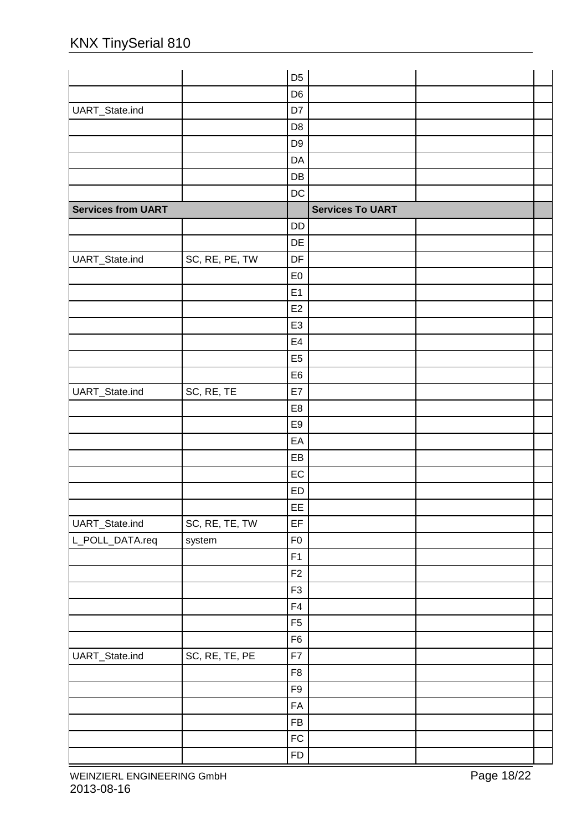|                           |                | D <sub>5</sub> |                         |  |
|---------------------------|----------------|----------------|-------------------------|--|
|                           |                | D <sub>6</sub> |                         |  |
| UART_State.ind            |                | D7             |                         |  |
|                           |                | D <sub>8</sub> |                         |  |
|                           |                | D <sub>9</sub> |                         |  |
|                           |                | DA             |                         |  |
|                           |                | DB             |                         |  |
|                           |                | DC             |                         |  |
| <b>Services from UART</b> |                |                | <b>Services To UART</b> |  |
|                           |                | <b>DD</b>      |                         |  |
|                           |                | DE             |                         |  |
| UART_State.ind            | SC, RE, PE, TW | DF             |                         |  |
|                           |                | E <sub>0</sub> |                         |  |
|                           |                | E1             |                         |  |
|                           |                | E <sub>2</sub> |                         |  |
|                           |                | E <sub>3</sub> |                         |  |
|                           |                | E4             |                         |  |
|                           |                | E <sub>5</sub> |                         |  |
|                           |                | E <sub>6</sub> |                         |  |
| UART_State.ind            | SC, RE, TE     | E7             |                         |  |
|                           |                | E <sub>8</sub> |                         |  |
|                           |                | E9             |                         |  |
|                           |                | EA             |                         |  |
|                           |                | EB             |                         |  |
|                           |                | EC             |                         |  |
|                           |                | ED             |                         |  |
|                           |                | EE             |                         |  |
| UART_State.ind            | SC, RE, TE, TW | EF             |                         |  |
| L_POLL_DATA.req           | system         | ${\sf F0}$     |                         |  |
|                           |                | F1             |                         |  |
|                           |                | F <sub>2</sub> |                         |  |
|                           |                | F <sub>3</sub> |                         |  |
|                           |                | ${\sf F4}$     |                         |  |
|                           |                | F <sub>5</sub> |                         |  |
|                           |                | F <sub>6</sub> |                         |  |
| UART_State.ind            | SC, RE, TE, PE | F7             |                         |  |
|                           |                | F <sub>8</sub> |                         |  |
|                           |                | F9             |                         |  |
|                           |                | FA             |                         |  |
|                           |                | FB             |                         |  |
|                           |                | ${\sf FC}$     |                         |  |
|                           |                | <b>FD</b>      |                         |  |
|                           |                |                |                         |  |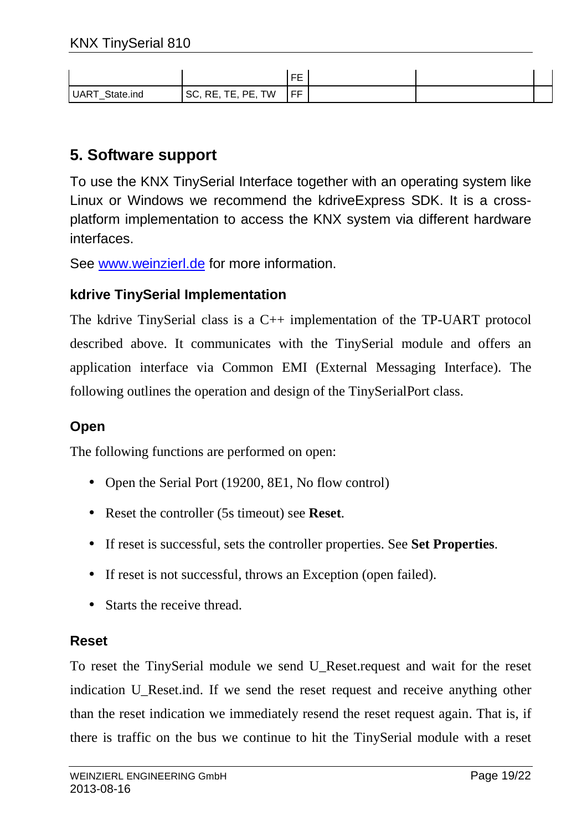|                   |                                               | ᄄ<br>-    |  |  |
|-------------------|-----------------------------------------------|-----------|--|--|
| UART<br>State.ind | TW<br>РF<br>n r<br>r.<br>-<br>KE,<br>ov.<br>. | EE<br>. . |  |  |

## **5. Software support**

To use the KNX TinySerial Interface together with an operating system like Linux or Windows we recommend the kdriveExpress SDK. It is a crossplatform implementation to access the KNX system via different hardware interfaces.

See www.weinzierl.de for more information.

#### **kdrive TinySerial Implementation**

The kdrive TinySerial class is a C++ implementation of the TP-UART protocol described above. It communicates with the TinySerial module and offers an application interface via Common EMI (External Messaging Interface). The following outlines the operation and design of the TinySerialPort class.

#### **Open**

The following functions are performed on open:

- Open the Serial Port (19200, 8E1, No flow control)
- Reset the controller (5s timeout) see **Reset**.
- If reset is successful, sets the controller properties. See **Set Properties**.
- If reset is not successful, throws an Exception (open failed).
- Starts the receive thread.

#### **Reset**

To reset the TinySerial module we send U\_Reset.request and wait for the reset indication U\_Reset.ind. If we send the reset request and receive anything other than the reset indication we immediately resend the reset request again. That is, if there is traffic on the bus we continue to hit the TinySerial module with a reset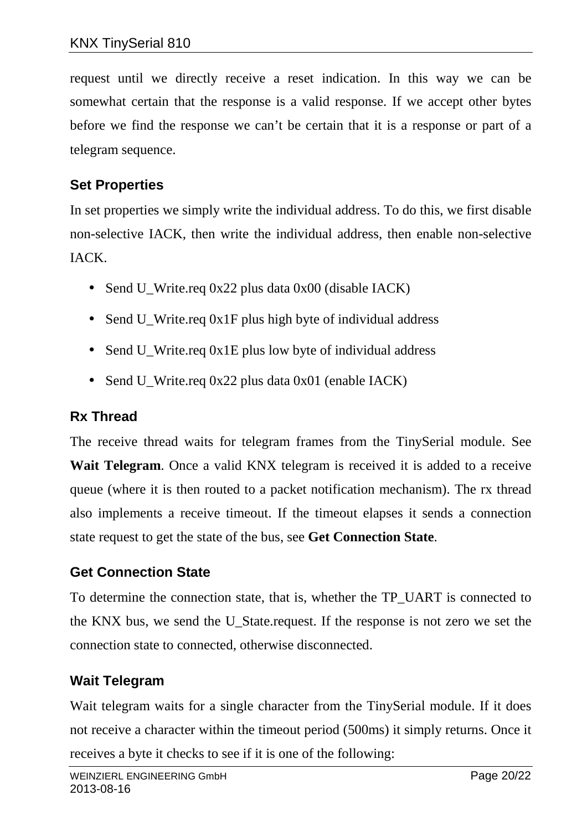request until we directly receive a reset indication. In this way we can be somewhat certain that the response is a valid response. If we accept other bytes before we find the response we can't be certain that it is a response or part of a telegram sequence.

## **Set Properties**

In set properties we simply write the individual address. To do this, we first disable non-selective IACK, then write the individual address, then enable non-selective IACK.

- Send U\_Write.req 0x22 plus data 0x00 (disable IACK)
- Send U\_Write.req 0x1F plus high byte of individual address
- Send U\_Write.req 0x1E plus low byte of individual address
- Send U\_Write.req 0x22 plus data 0x01 (enable IACK)

## **Rx Thread**

The receive thread waits for telegram frames from the TinySerial module. See **Wait Telegram**. Once a valid KNX telegram is received it is added to a receive queue (where it is then routed to a packet notification mechanism). The rx thread also implements a receive timeout. If the timeout elapses it sends a connection state request to get the state of the bus, see **Get Connection State**.

### **Get Connection State**

To determine the connection state, that is, whether the TP\_UART is connected to the KNX bus, we send the U\_State.request. If the response is not zero we set the connection state to connected, otherwise disconnected.

### **Wait Telegram**

Wait telegram waits for a single character from the TinySerial module. If it does not receive a character within the timeout period (500ms) it simply returns. Once it receives a byte it checks to see if it is one of the following: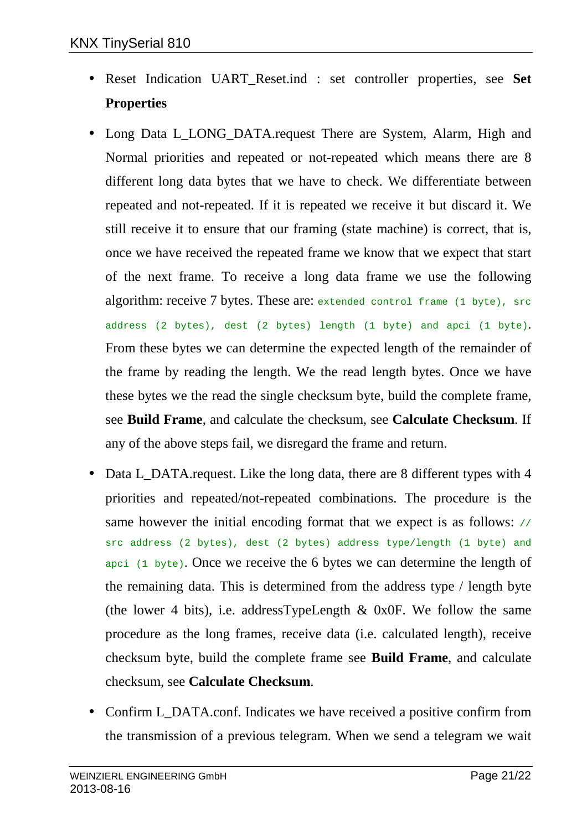- Reset Indication UART\_Reset.ind : set controller properties, see **Set Properties**
- Long Data L\_LONG\_DATA.request There are System, Alarm, High and Normal priorities and repeated or not-repeated which means there are 8 different long data bytes that we have to check. We differentiate between repeated and not-repeated. If it is repeated we receive it but discard it. We still receive it to ensure that our framing (state machine) is correct, that is, once we have received the repeated frame we know that we expect that start of the next frame. To receive a long data frame we use the following algorithm: receive 7 bytes. These are: extended control frame (1 byte), src address (2 bytes), dest (2 bytes) length (1 byte) and apci (1 byte). From these bytes we can determine the expected length of the remainder of the frame by reading the length. We the read length bytes. Once we have these bytes we the read the single checksum byte, build the complete frame, see **Build Frame**, and calculate the checksum, see **Calculate Checksum**. If any of the above steps fail, we disregard the frame and return.
- Data L\_DATA.request. Like the long data, there are 8 different types with 4 priorities and repeated/not-repeated combinations. The procedure is the same however the initial encoding format that we expect is as follows:  $\frac{1}{10}$ src address (2 bytes), dest (2 bytes) address type/length (1 byte) and apci (1 byte). Once we receive the 6 bytes we can determine the length of the remaining data. This is determined from the address type / length byte (the lower 4 bits), i.e. addressTypeLength  $& 0x0F$ . We follow the same procedure as the long frames, receive data (i.e. calculated length), receive checksum byte, build the complete frame see **Build Frame**, and calculate checksum, see **Calculate Checksum**.
- Confirm L\_DATA.conf. Indicates we have received a positive confirm from the transmission of a previous telegram. When we send a telegram we wait